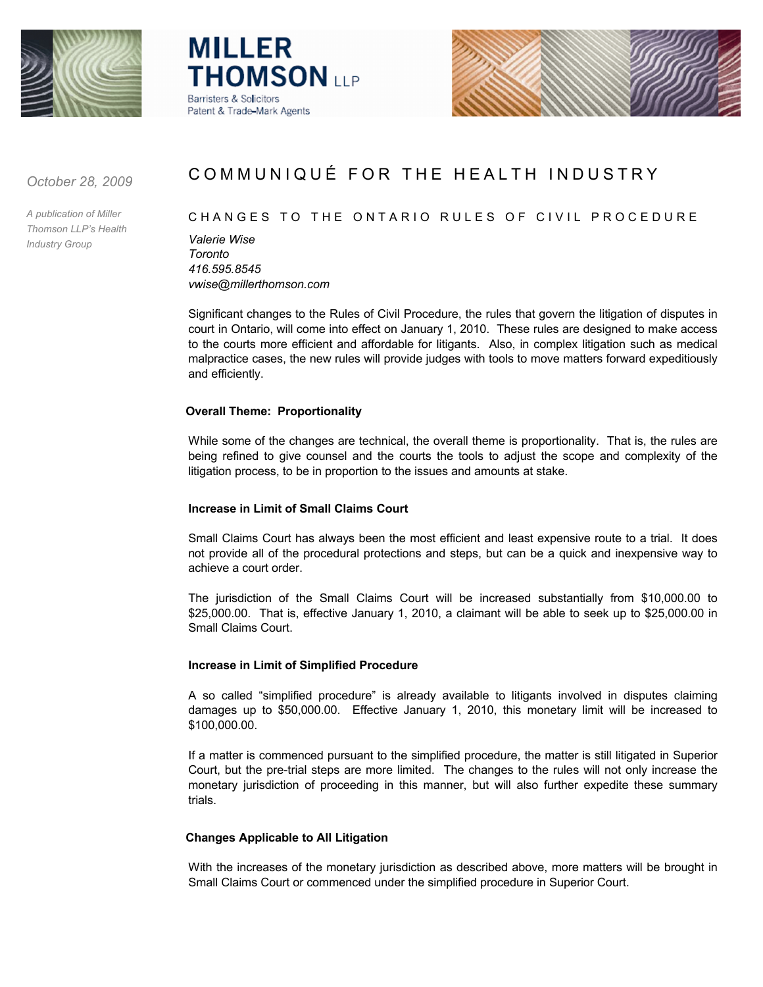





*October 28, 2009*

*A publication of Miller Thomson LLP's Health Industry Group*

# COMMUNIQUÉ FOR THE HEALTH INDUSTRY

## CHANGES TO THE ONTARIO RULES OF CIVIL PROCE DURE

*Valerie Wise Toronto 416.595.8545 vwise@millerthomson.com*

Significant changes to the Rules of Civil Procedure, the rules that govern the litigation of disputes in court in Ontario, will come into effect on January 1, 2010. These rules are designed to make access to the courts more efficient and affordable for litigants. Also, in complex litigation such as medical malpractice cases, the new rules will provide judges with tools to move matters forward expeditiously and efficiently.

## **Overall Theme: Proportionality**

While some of the changes are technical, the overall theme is proportionality. That is, the rules are being refined to give counsel and the courts the tools to adjust the scope and complexity of the litigation process, to be in proportion to the issues and amounts at stake.

# **Increase in Limit of Small Claims Court**

Small Claims Court has always been the most efficient and least expensive route to a trial. It does not provide all of the procedural protections and steps, but can be a quick and inexpensive way to achieve a court order.

The jurisdiction of the Small Claims Court will be increased substantially from \$10,000.00 to \$25,000.00. That is, effective January 1, 2010, a claimant will be able to seek up to \$25,000.00 in Small Claims Court.

## **Increase in Limit of Simplified Procedure**

A so called "simplified procedure" is already available to litigants involved in disputes claiming damages up to \$50,000.00. Effective January 1, 2010, this monetary limit will be increased to \$100,000.00.

If a matter is commenced pursuant to the simplified procedure, the matter is still litigated in Superior Court, but the pre-trial steps are more limited. The changes to the rules will not only increase the monetary jurisdiction of proceeding in this manner, but will also further expedite these summary trials.

# **Changes Applicable to All Litigation**

With the increases of the monetary jurisdiction as described above, more matters will be brought in Small Claims Court or commenced under the simplified procedure in Superior Court.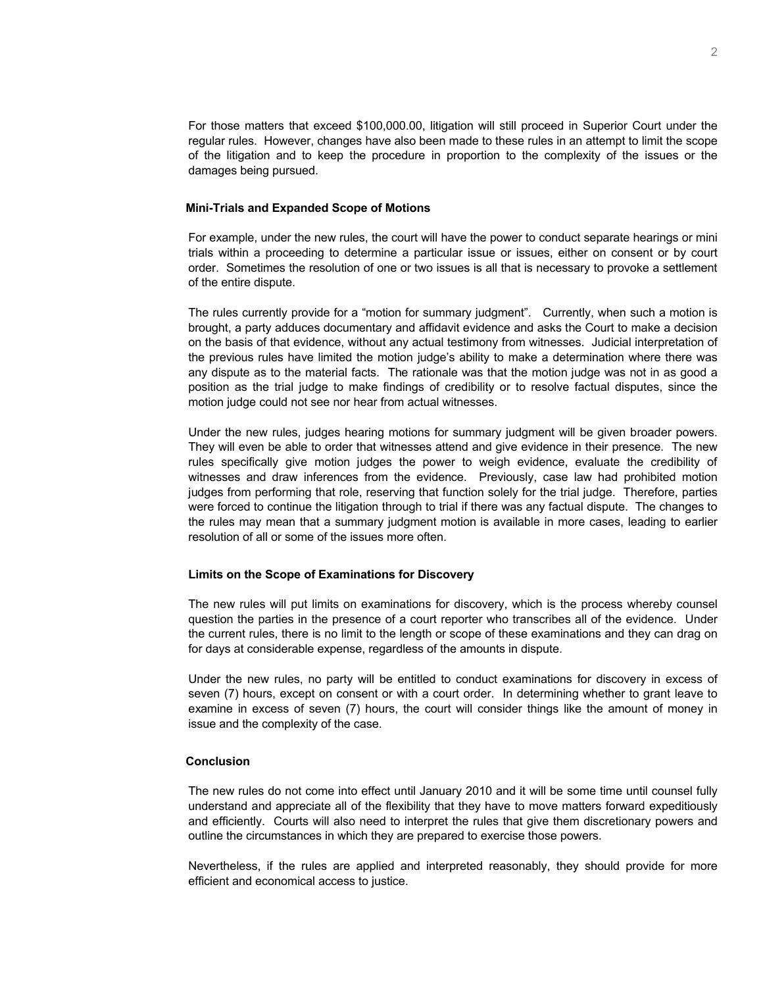For those matters that exceed \$100,000.00, litigation will still proceed in Superior Court under the regular rules. However, changes have also been made to these rules in an attempt to limit the scope of the litigation and to keep the procedure in proportion to the complexity of the issues or the damages being pursued.

#### **Mini-Trials and Expanded Scope of Motions**

For example, under the new rules, the court will have the power to conduct separate hearings or mini trials within a proceeding to determine a particular issue or issues, either on consent or by court order. Sometimes the resolution of one or two issues is all that is necessary to provoke a settlement of the entire dispute.

The rules currently provide for a "motion for summary judgment". Currently, when such a motion is brought, a party adduces documentary and affidavit evidence and asks the Court to make a decision on the basis of that evidence, without any actual testimony from witnesses. Judicial interpretation of the previous rules have limited the motion judge's ability to make a determination where there was any dispute as to the material facts. The rationale was that the motion judge was not in as good a position as the trial judge to make findings of credibility or to resolve factual disputes, since the motion judge could not see nor hear from actual witnesses.

Under the new rules, judges hearing motions for summary judgment will be given broader powers. They will even be able to order that witnesses attend and give evidence in their presence. The new rules specifically give motion judges the power to weigh evidence, evaluate the credibility of witnesses and draw inferences from the evidence. Previously, case law had prohibited motion judges from performing that role, reserving that function solely for the trial judge. Therefore, parties were forced to continue the litigation through to trial if there was any factual dispute. The changes to the rules may mean that a summary judgment motion is available in more cases, leading to earlier resolution of all or some of the issues more often.

#### **Limits on the Scope of Examinations for Discovery**

The new rules will put limits on examinations for discovery, which is the process whereby counsel question the parties in the presence of a court reporter who transcribes all of the evidence. Under the current rules, there is no limit to the length or scope of these examinations and they can drag on for days at considerable expense, regardless of the amounts in dispute.

Under the new rules, no party will be entitled to conduct examinations for discovery in excess of seven (7) hours, except on consent or with a court order. In determining whether to grant leave to examine in excess of seven (7) hours, the court will consider things like the amount of money in issue and the complexity of the case.

## **Conclusion**

The new rules do not come into effect until January 2010 and it will be some time until counsel fully understand and appreciate all of the flexibility that they have to move matters forward expeditiously and efficiently. Courts will also need to interpret the rules that give them discretionary powers and outline the circumstances in which they are prepared to exercise those powers.

Nevertheless, if the rules are applied and interpreted reasonably, they should provide for more efficient and economical access to justice.